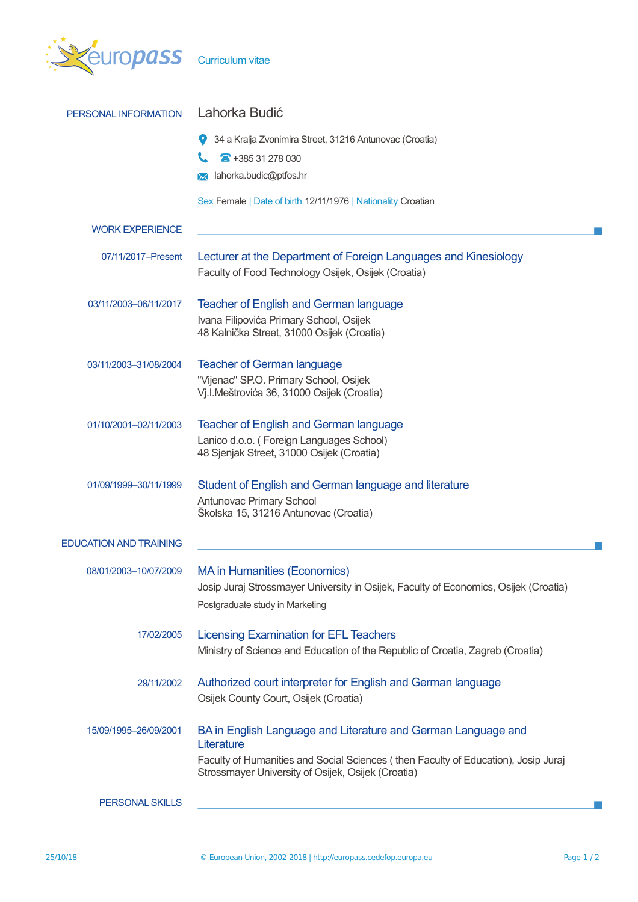

| PERSONAL INFORMATION          | Lahorka Budić                                                                                                                                                                                                           |  |  |  |  |
|-------------------------------|-------------------------------------------------------------------------------------------------------------------------------------------------------------------------------------------------------------------------|--|--|--|--|
|                               | 34 a Kralja Zvonimira Street, 31216 Antunovac (Croatia)                                                                                                                                                                 |  |  |  |  |
|                               | $\overline{4}$ +385 31 278 030                                                                                                                                                                                          |  |  |  |  |
|                               | lahorka.budic@ptfos.hr<br>⋈                                                                                                                                                                                             |  |  |  |  |
|                               | Sex Female   Date of birth 12/11/1976   Nationality Croatian                                                                                                                                                            |  |  |  |  |
| <b>WORK EXPERIENCE</b>        |                                                                                                                                                                                                                         |  |  |  |  |
| 07/11/2017-Present            | Lecturer at the Department of Foreign Languages and Kinesiology<br>Faculty of Food Technology Osijek, Osijek (Croatia)                                                                                                  |  |  |  |  |
| 03/11/2003-06/11/2017         | <b>Teacher of English and German language</b><br>Ivana Filipovića Primary School, Osijek<br>48 Kalnička Street, 31000 Osijek (Croatia)                                                                                  |  |  |  |  |
| 03/11/2003-31/08/2004         | <b>Teacher of German language</b><br>"Vijenac" SP.O. Primary School, Osijek<br>Vj.I.Meštrovića 36, 31000 Osijek (Croatia)                                                                                               |  |  |  |  |
| 01/10/2001-02/11/2003         | <b>Teacher of English and German language</b><br>Lanico d.o.o. (Foreign Languages School)<br>48 Sjenjak Street, 31000 Osijek (Croatia)                                                                                  |  |  |  |  |
| 01/09/1999-30/11/1999         | Student of English and German language and literature<br>Antunovac Primary School<br>Školska 15, 31216 Antunovac (Croatia)                                                                                              |  |  |  |  |
| <b>EDUCATION AND TRAINING</b> |                                                                                                                                                                                                                         |  |  |  |  |
| 08/01/2003-10/07/2009         | <b>MA</b> in Humanities (Economics)<br>Josip Juraj Strossmayer University in Osijek, Faculty of Economics, Osijek (Croatia)<br>Postgraduate study in Marketing                                                          |  |  |  |  |
| 17/02/2005                    | <b>Licensing Examination for EFL Teachers</b><br>Ministry of Science and Education of the Republic of Croatia, Zagreb (Croatia)                                                                                         |  |  |  |  |
| 29/11/2002                    | Authorized court interpreter for English and German language<br>Osijek County Court, Osijek (Croatia)                                                                                                                   |  |  |  |  |
| 15/09/1995-26/09/2001         | BA in English Language and Literature and German Language and<br>Literature<br>Faculty of Humanities and Social Sciences (then Faculty of Education), Josip Juraj<br>Strossmayer University of Osijek, Osijek (Croatia) |  |  |  |  |
| PERSONAL SKILLS               | <u> 1989 - Johann John Stein, markin film yn y brening yn y brening yn y brening yn y brening yn y brening yn y b</u>                                                                                                   |  |  |  |  |